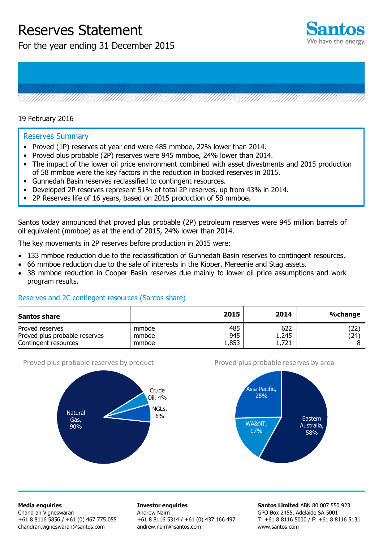# Reserves Statement

For the year ending 31 December 2015





### 19 February 2016

#### Reserves Summary

- Proved (1P) reserves at year end were 485 mmboe, 22% lower than 2014.
- Proved plus probable (2P) reserves were 945 mmboe, 24% lower than 2014.
- The impact of the lower oil price environment combined with asset divestments and 2015 production of 58 mmboe were the key factors in the reduction in booked reserves in 2015.
- Gunnedah Basin reserves reclassified to contingent resources.
- Developed 2P reserves represent 51% of total 2P reserves, up from 43% in 2014.
- 2P Reserves life of 16 years, based on 2015 production of 58 mmboe.

Santos today announced that proved plus probable (2P) petroleum reserves were 945 million barrels of oil equivalent (mmboe) as at the end of 2015, 24% lower than 2014.

The key movements in 2P reserves before production in 2015 were:

- 133 mmboe reduction due to the reclassification of Gunnedah Basin reserves to contingent resources.
- 66 mmboe reduction due to the sale of interests in the Kipper, Mereenie and Stag assets.
- 38 mmboe reduction in Cooper Basin reserves due mainly to lower oil price assumptions and work program results.

### Reserves and 2C contingent resources (Santos share)

| <b>Santos share</b>                                                      |                         | 2015                | 2014                  | %change                    |
|--------------------------------------------------------------------------|-------------------------|---------------------|-----------------------|----------------------------|
| Proved reserves<br>Proved plus probable reserves<br>Contingent resources | mmboe<br>mmboe<br>mmboe | 485<br>945<br>1,853 | 622<br>1,245<br>1,721 | $\left( 22\right)$<br>(24) |

#### Proved plus probable reserves by product



#### Proved plus probable reserves by area



**Media enquiries** 

Chandran Vigneswaran +61 8 8116 5856 / +61 (0) 467 775 055 [chandran.vigneswaran@santos.com](mailto:chandran.vigneswaran@santos.com) 

**Investor enquiries**  Andrew Nairn +61 8 8116 5314 / +61 (0) 437 166 497 andrew.nairn@santos.com

**Santos Limited** ABN 80 007 550 923 GPO Box 2455, Adelaide SA 5001 T: +61 8 8116 5000 / F: +61 8 8116 5131 www.santos.com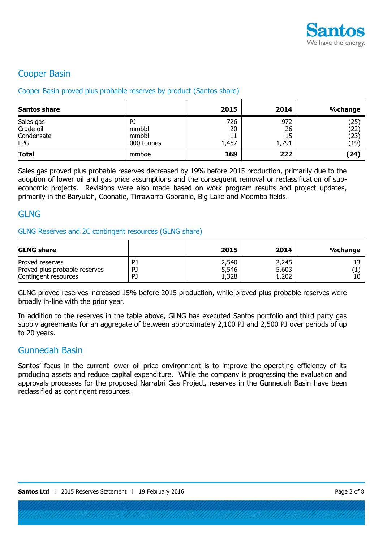

## Cooper Basin

### Cooper Basin proved plus probable reserves by product (Santos share)

| <b>Santos share</b>                                |                                    | 2015                     | 2014                     | <b>%change</b>               |
|----------------------------------------------------|------------------------------------|--------------------------|--------------------------|------------------------------|
| Sales gas<br>Crude oil<br>Condensate<br><b>LPG</b> | PJ<br>mmbbl<br>mmbbl<br>000 tonnes | 726<br>20<br>11<br>1,457 | 972<br>26<br>15<br>1,791 | (25)<br>(22)<br>(23)<br>(19) |
| <b>Total</b>                                       | mmboe                              | 168                      | 222                      | (24)                         |

Sales gas proved plus probable reserves decreased by 19% before 2015 production, primarily due to the adoption of lower oil and gas price assumptions and the consequent removal or reclassification of subeconomic projects. Revisions were also made based on work program results and project updates, primarily in the Baryulah, Coonatie, Tirrawarra-Gooranie, Big Lake and Moomba fields.

### **GLNG**

### GLNG Reserves and 2C contingent resources (GLNG share)

| <b>GLNG share</b>             |    | 2015  | 2014  | %change |
|-------------------------------|----|-------|-------|---------|
| Proved reserves               | PJ | 2,540 | 2,245 | 10      |
| Proved plus probable reserves | PJ | 5,546 | 5,603 |         |
| Contingent resources          | PJ | 1,328 | 1,202 |         |

GLNG proved reserves increased 15% before 2015 production, while proved plus probable reserves were broadly in-line with the prior year.

In addition to the reserves in the table above, GLNG has executed Santos portfolio and third party gas supply agreements for an aggregate of between approximately 2,100 PJ and 2,500 PJ over periods of up to 20 years.

### Gunnedah Basin

Santos' focus in the current lower oil price environment is to improve the operating efficiency of its producing assets and reduce capital expenditure. While the company is progressing the evaluation and approvals processes for the proposed Narrabri Gas Project, reserves in the Gunnedah Basin have been reclassified as contingent resources.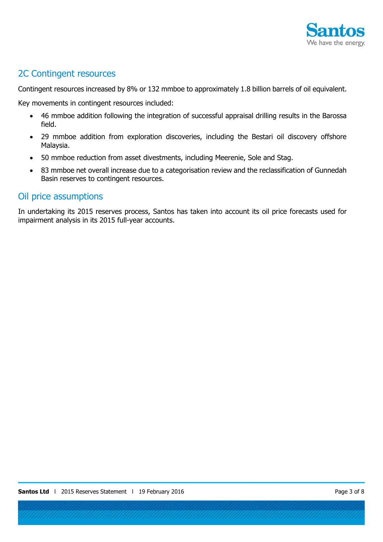

### 2C Contingent resources

Contingent resources increased by 8% or 132 mmboe to approximately 1.8 billion barrels of oil equivalent.

Key movements in contingent resources included:

- 46 mmboe addition following the integration of successful appraisal drilling results in the Barossa field.
- 29 mmboe addition from exploration discoveries, including the Bestari oil discovery offshore Malaysia.
- 50 mmboe reduction from asset divestments, including Meerenie, Sole and Stag.
- 83 mmboe net overall increase due to a categorisation review and the reclassification of Gunnedah Basin reserves to contingent resources.

### Oil price assumptions

In undertaking its 2015 reserves process, Santos has taken into account its oil price forecasts used for impairment analysis in its 2015 full-year accounts.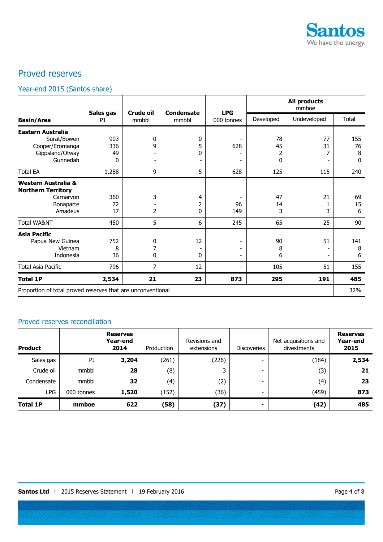

# Proved reserves

# Year-end 2015 (Santos share)

|                                                                                       |                       | Crude oil   | <b>Condensate</b>  | <b>LPG</b>                                                             |                    | <b>All products</b><br>mmboe |                               |
|---------------------------------------------------------------------------------------|-----------------------|-------------|--------------------|------------------------------------------------------------------------|--------------------|------------------------------|-------------------------------|
| <b>Basin/Area</b>                                                                     | Sales gas<br>PJ       | mmbbl       | mmbbl              | 000 tonnes                                                             | Developed          | Undeveloped                  | Total                         |
| Eastern Australia<br>Surat/Bowen<br>Cooper/Eromanga<br>Gippsland/Otway<br>Gunnedah    | 903<br>336<br>49<br>0 | 0<br>9      | 0<br>5<br>$\Omega$ | 628<br>$\overline{\phantom{a}}$                                        | 78<br>45<br>2<br>0 | 77<br>31                     | 155<br>76<br>8<br>$\mathbf 0$ |
| <b>Total EA</b>                                                                       | 1,288                 | 9           | 5                  | 628                                                                    | 125                | 115                          | 240                           |
| Western Australia &<br><b>Northern Territory</b><br>Carnarvon<br>Bonaparte<br>Amadeus | 360<br>72<br>17       | 3<br>2      | 4<br>2<br>0        | 96<br>149                                                              | 47<br>14<br>3      | 21<br>1<br>3                 | 69<br>15<br>6                 |
| <b>Total WA&amp;NT</b>                                                                | 450                   | 5           | 6                  | 245                                                                    | 65                 | 25                           | 90                            |
| <b>Asia Pacific</b><br>Papua New Guinea<br>Vietnam<br>Indonesia                       | 752<br>8<br>36        | 0<br>7<br>0 | 12<br>0            | $\overline{a}$<br>$\overline{\phantom{a}}$<br>$\overline{\phantom{a}}$ | 90<br>8<br>6       | 51                           | 141<br>8<br>6                 |
| <b>Total Asia Pacific</b>                                                             | 796                   | 7           | 12                 | $\overline{\phantom{a}}$                                               | 105                | 51                           | 155                           |
| <b>Total 1P</b>                                                                       | 2,534                 | 21          | 23                 | 873                                                                    | 295                | 191                          | 485                           |
| Proportion of total proved reserves that are unconventional                           |                       |             |                    |                                                                        |                    |                              | 32%                           |

### Proved reserves reconciliation

| <b>Product</b>  |            | <b>Reserves</b><br>Year-end<br>2014 | Production | Revisions and<br>extensions | <b>Discoveries</b> | Net acquisitions and<br>divestments | <b>Reserves</b><br>Year-end<br>2015 |
|-----------------|------------|-------------------------------------|------------|-----------------------------|--------------------|-------------------------------------|-------------------------------------|
| Sales gas       | PJ         | 3,204                               | (261)      | (226)                       |                    | (184)                               | 2,534                               |
| Crude oil       | mmbbl      | 28                                  | (8)        |                             |                    | (3)                                 | 21                                  |
| Condensate      | mmbbl      | 32                                  | (4)        | (2)                         |                    | (4)                                 | 23                                  |
| LPG             | 000 tonnes | 1,520                               | (152)      | (36)                        | -                  | (459)                               | 873                                 |
| <b>Total 1P</b> | mmboe      | 622                                 | (58)       | (37)                        |                    | (42)                                | 485                                 |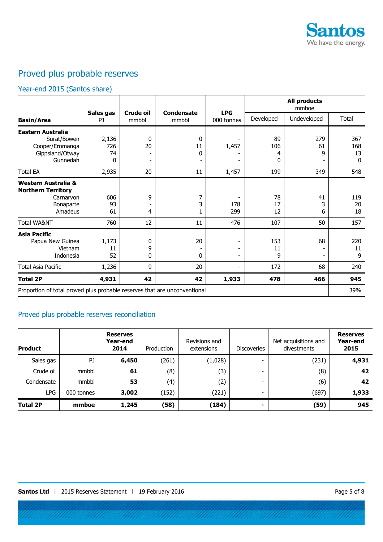

# Proved plus probable reserves

### Year-end 2015 (Santos share)

|                                                                                       |                         |                                     |                            |                          |                     | <b>All products</b><br>mmboe |                                  |
|---------------------------------------------------------------------------------------|-------------------------|-------------------------------------|----------------------------|--------------------------|---------------------|------------------------------|----------------------------------|
| <b>Basin/Area</b>                                                                     | Sales gas<br>PJ         | Crude oil<br>mmbbl                  | <b>Condensate</b><br>mmbbl | <b>LPG</b><br>000 tonnes | Developed           | Undeveloped                  | Total                            |
| Eastern Australia<br>Surat/Bowen<br>Cooper/Eromanga<br>Gippsland/Otway<br>Gunnedah    | 2,136<br>726<br>74<br>0 | 0<br>20<br>$\overline{\phantom{a}}$ | 0<br>11<br>0               | 1,457                    | 89<br>106<br>4<br>0 | 279<br>61<br>9               | 367<br>168<br>13<br>$\mathbf{0}$ |
| <b>Total EA</b>                                                                       | 2,935                   | 20                                  | 11                         | 1,457                    | 199                 | 349                          | 548                              |
| Western Australia &<br><b>Northern Territory</b><br>Carnarvon<br>Bonaparte<br>Amadeus | 606<br>93<br>61         | 9<br>-<br>4                         | 7<br>3                     | 178<br>299               | 78<br>17<br>12      | 41<br>3<br>6                 | 119<br>20<br>18                  |
| <b>Total WA&amp;NT</b>                                                                | 760                     | 12                                  | 11                         | 476                      | 107                 | 50                           | 157                              |
| Asia Pacific<br>Papua New Guinea<br>Vietnam<br>Indonesia                              | 1,173<br>11<br>52       | 0<br>9<br>0                         | 20<br>0                    |                          | 153<br>11<br>9      | 68<br>-                      | 220<br>11<br>9                   |
| Total Asia Pacific                                                                    | 1,236                   | 9                                   | 20                         |                          | 172                 | 68                           | 240                              |
| <b>Total 2P</b>                                                                       | 4,931                   | 42                                  | 42                         | 1,933                    | 478                 | 466                          | 945                              |
| Proportion of total proved plus probable reserves that are unconventional             |                         |                                     |                            |                          |                     |                              | 39%                              |

### Proved plus probable reserves reconciliation

| <b>Product</b>  |            | <b>Reserves</b><br>Year-end<br>2014 | Production | Revisions and<br>extensions | <b>Discoveries</b>       | Net acquisitions and<br>divestments | <b>Reserves</b><br>Year-end<br>2015 |
|-----------------|------------|-------------------------------------|------------|-----------------------------|--------------------------|-------------------------------------|-------------------------------------|
| Sales gas       | PJ         | 6,450                               | (261)      | (1,028)                     | $\overline{\phantom{0}}$ | (231)                               | 4,931                               |
| Crude oil       | mmbbl      | 61                                  | (8)        | (3)                         | -                        | (8)                                 | 42                                  |
| Condensate      | mmbbl      | 53                                  | (4)        | (2)                         | -                        | (6)                                 | 42                                  |
| LPG             | 000 tonnes | 3,002                               | (152)      | (221)                       | -                        | (697)                               | 1,933                               |
| <b>Total 2P</b> | mmboe      | 1,245                               | (58)       | (184)                       |                          | (59)                                | 945                                 |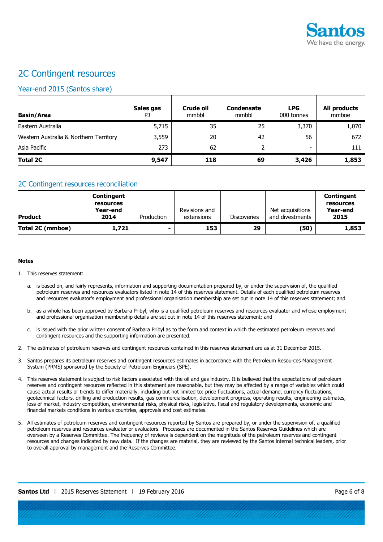

# 2C Contingent resources

### Year-end 2015 (Santos share)

| <b>Basin/Area</b>                      | Sales gas<br>PJ. | <b>Crude oil</b><br>mmbbl | <b>Condensate</b><br>mmbbl | <b>LPG</b><br>000 tonnes | All products<br>mmboe |
|----------------------------------------|------------------|---------------------------|----------------------------|--------------------------|-----------------------|
| Eastern Australia                      | 5,715            | 35                        | 25                         | 3,370                    | 1,070                 |
| Western Australia & Northern Territory | 3,559            | 20                        | 42                         | 56                       | 672                   |
| Asia Pacific                           | 273              | 62                        |                            | -                        | 111                   |
| <b>Total 2C</b>                        | 9,547            | 118                       | 69                         | 3,426                    | 1,853                 |

#### 2C Contingent resources reconciliation

| <b>Product</b>   | Contingent<br>resources<br>Year-end<br>2014 | Production | Revisions and<br>extensions | <b>Discoveries</b> | Net acquisitions<br>and divestments | <b>Contingent</b><br>resources<br>Year-end<br>2015 |
|------------------|---------------------------------------------|------------|-----------------------------|--------------------|-------------------------------------|----------------------------------------------------|
| Total 2C (mmboe) | 1,721                                       |            | 153                         | 29                 | (50)                                | 1,853                                              |

#### **Notes**

- 1. This reserves statement:
	- a. is based on, and fairly represents, information and supporting documentation prepared by, or under the supervision of, the qualified petroleum reserves and resources evaluators listed in note 14 of this reserves statement. Details of each qualified petroleum reserves and resources evaluator's employment and professional organisation membership are set out in note 14 of this reserves statement; and
	- b. as a whole has been approved by Barbara Pribyl, who is a qualified petroleum reserves and resources evaluator and whose employment and professional organisation membership details are set out in note 14 of this reserves statement; and
	- c. is issued with the prior written consent of Barbara Pribyl as to the form and context in which the estimated petroleum reserves and contingent resources and the supporting information are presented.
- 2. The estimates of petroleum reserves and contingent resources contained in this reserves statement are as at 31 December 2015.
- 3. Santos prepares its petroleum reserves and contingent resources estimates in accordance with the Petroleum Resources Management System (PRMS) sponsored by the Society of Petroleum Engineers (SPE).
- 4. This reserves statement is subject to risk factors associated with the oil and gas industry. It is believed that the expectations of petroleum reserves and contingent resources reflected in this statement are reasonable, but they may be affected by a range of variables which could cause actual results or trends to differ materially, including but not limited to: price fluctuations, actual demand, currency fluctuations, geotechnical factors, drilling and production results, gas commercialisation, development progress, operating results, engineering estimates, loss of market, industry competition, environmental risks, physical risks, legislative, fiscal and regulatory developments, economic and financial markets conditions in various countries, approvals and cost estimates.
- 5. All estimates of petroleum reserves and contingent resources reported by Santos are prepared by, or under the supervision of, a qualified petroleum reserves and resources evaluator or evaluators. Processes are documented in the Santos Reserves Guidelines which are overseen by a Reserves Committee. The frequency of reviews is dependent on the magnitude of the petroleum reserves and contingent resources and changes indicated by new data. If the changes are material, they are reviewed by the Santos internal technical leaders, prior to overall approval by management and the Reserves Committee.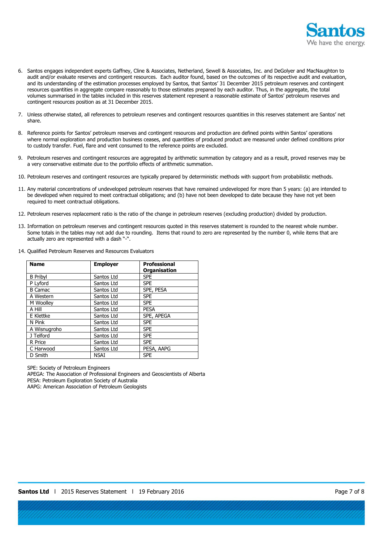

- 6. Santos engages independent experts Gaffney, Cline & Associates, Netherland, Sewell & Associates, Inc. and DeGolyer and MacNaughton to audit and/or evaluate reserves and contingent resources. Each auditor found, based on the outcomes of its respective audit and evaluation, and its understanding of the estimation processes employed by Santos, that Santos' 31 December 2015 petroleum reserves and contingent resources quantities in aggregate compare reasonably to those estimates prepared by each auditor. Thus, in the aggregate, the total volumes summarised in the tables included in this reserves statement represent a reasonable estimate of Santos' petroleum reserves and contingent resources position as at 31 December 2015.
- 7. Unless otherwise stated, all references to petroleum reserves and contingent resources quantities in this reserves statement are Santos' net share.
- 8. Reference points for Santos' petroleum reserves and contingent resources and production are defined points within Santos' operations where normal exploration and production business ceases, and quantities of produced product are measured under defined conditions prior to custody transfer. Fuel, flare and vent consumed to the reference points are excluded.
- 9. Petroleum reserves and contingent resources are aggregated by arithmetic summation by category and as a result, proved reserves may be a very conservative estimate due to the portfolio effects of arithmetic summation.
- 10. Petroleum reserves and contingent resources are typically prepared by deterministic methods with support from probabilistic methods.
- 11. Any material concentrations of undeveloped petroleum reserves that have remained undeveloped for more than 5 years: (a) are intended to be developed when required to meet contractual obligations; and (b) have not been developed to date because they have not yet been required to meet contractual obligations.
- 12. Petroleum reserves replacement ratio is the ratio of the change in petroleum reserves (excluding production) divided by production.
- 13. Information on petroleum reserves and contingent resources quoted in this reserves statement is rounded to the nearest whole number. Some totals in the tables may not add due to rounding. Items that round to zero are represented by the number 0, while items that are actually zero are represented with a dash "-".
- 14. Qualified Petroleum Reserves and Resources Evaluators

| <b>Name</b>     | <b>Employer</b> | <b>Professional</b> |
|-----------------|-----------------|---------------------|
|                 |                 | <b>Organisation</b> |
| <b>B</b> Pribyl | Santos Ltd      | <b>SPE</b>          |
| P Lyford        | Santos Ltd      | <b>SPE</b>          |
| <b>B</b> Camac  | Santos Ltd      | SPE, PESA           |
| A Western       | Santos Ltd      | <b>SPE</b>          |
| M Woolley       | Santos Ltd      | <b>SPE</b>          |
| A Hill          | Santos Ltd      | <b>PESA</b>         |
| E Klettke       | Santos Ltd      | SPE, APEGA          |
| N Pink          | Santos Ltd      | <b>SPE</b>          |
| A Wisnugroho    | Santos Ltd      | <b>SPE</b>          |
| J Telford       | Santos Ltd      | <b>SPE</b>          |
| R Price         | Santos Ltd      | <b>SPE</b>          |
| C Harwood       | Santos Ltd      | PESA, AAPG          |
| D Smith         | <b>NSAI</b>     | <b>SPE</b>          |

SPE: Society of Petroleum Engineers

APEGA: The Association of Professional Engineers and Geoscientists of Alberta PESA: Petroleum Exploration Society of Australia

AAPG: American Association of Petroleum Geologists